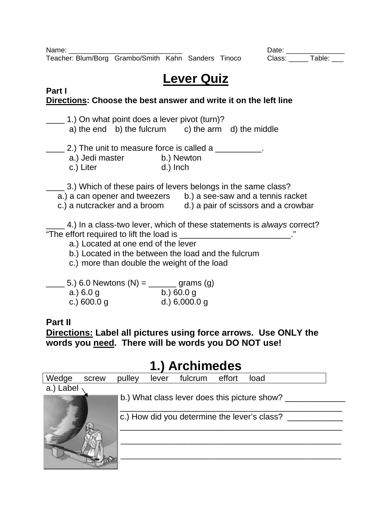Name: \_\_\_\_\_\_\_\_\_\_\_\_\_\_\_\_\_\_\_\_\_\_\_\_\_\_\_\_\_ Date: \_\_\_\_\_\_\_\_\_\_\_\_\_\_\_ Teacher: Blum/Borg Grambo/Smith Kahn Sanders Tinoco

# **Lever Quiz**

#### **Part I Directions: Choose the best answer and write it on the left line**

\_\_\_\_ 1.) On what point does a lever pivot (turn)? a) the end b) the fulcrum c) the arm d) the middle 2.) The unit to measure force is called a a.) Jedi master b.) Newton c.) Liter d.) Inch 3.) Which of these pairs of levers belongs in the same class? a.) a can opener and tweezers b.) a see-saw and a tennis racket c.) a nutcracker and a broom d.) a pair of scissors and a crowbar \_\_\_\_ 4.) In a class-two lever, which of these statements is *always* correct? "The effort required to lift the load is \_\_\_\_\_\_\_\_\_\_\_\_\_\_\_\_\_\_\_\_\_\_\_\_." a.) Located at one end of the lever b.) Located in the between the load and the fulcrum c.) more than double the weight of the load 5.) 6.0 Newtons  $(N) =$  \_\_\_\_\_\_ grams (g) a.) 6.0 g b.) 60.0 g c.) 600.0 g d.) 6,000.0 g

### **Part II**

**Directions: Label all pictures using force arrows. Use ONLY the words you need. There will be words you DO NOT use!** 

## **1.) Archimedes**

| Wedge     | screw | pulley | lever                                        | fulcrum                                      | effort | load |  |  |
|-----------|-------|--------|----------------------------------------------|----------------------------------------------|--------|------|--|--|
| a.) Label |       |        |                                              |                                              |        |      |  |  |
|           |       |        |                                              | b.) What class lever does this picture show? |        |      |  |  |
|           |       |        | c.) How did you determine the lever's class? |                                              |        |      |  |  |
|           |       |        |                                              |                                              |        |      |  |  |
|           |       |        |                                              |                                              |        |      |  |  |
|           |       |        |                                              |                                              |        |      |  |  |
|           |       |        |                                              |                                              |        |      |  |  |